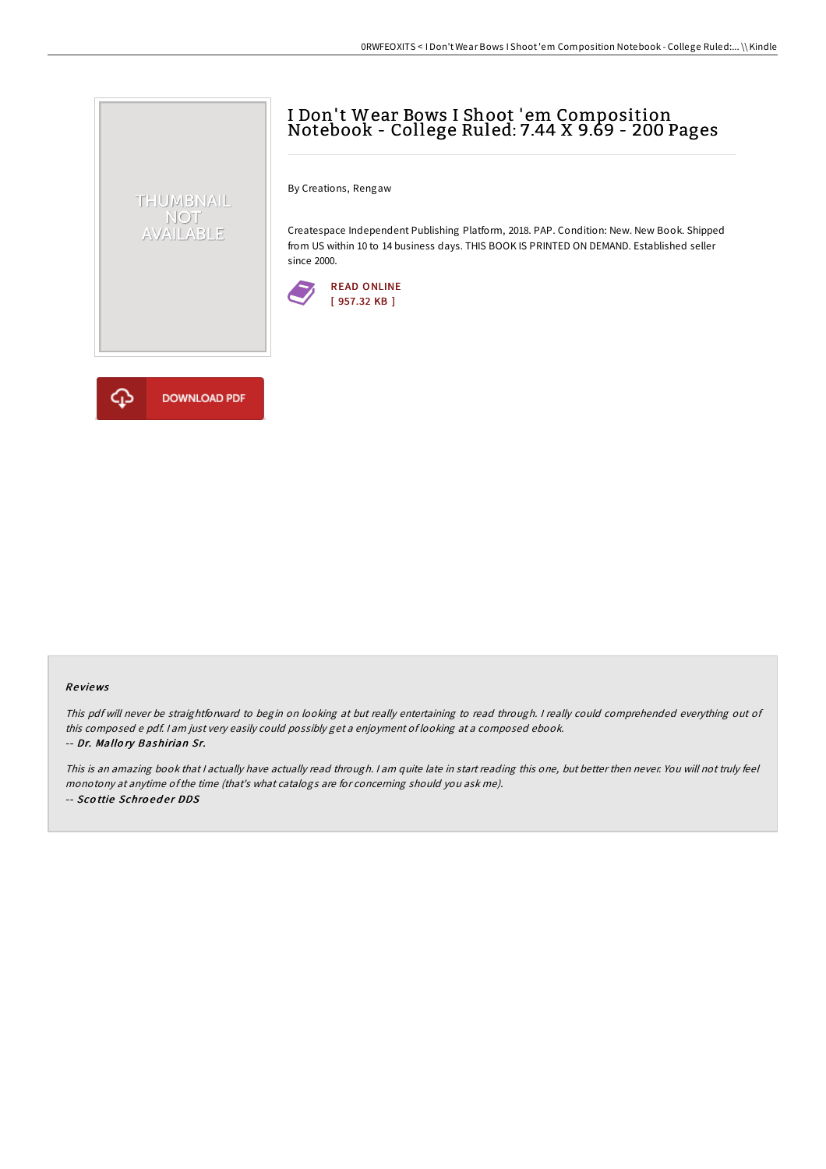# I Don't Wear Bows I Shoot 'em Composition Notebook - College Ruled: 7.44 X 9.69 - 200 Pages

By Creations, Rengaw

Createspace Independent Publishing Platform, 2018. PAP. Condition: New. New Book. Shipped from US within 10 to 14 business days. THIS BOOK IS PRINTED ON DEMAND. Established seller since 2000.





THUMBNAIL NOT<br>AVAILABLE

## Re views

This pdf will never be straightforward to begin on looking at but really entertaining to read through. I really could comprehended everything out of this composed <sup>e</sup> pdf. <sup>I</sup> am just very easily could possibly get <sup>a</sup> enjoyment of looking at <sup>a</sup> composed ebook. -- Dr. Mallo ry Bashirian Sr.

This is an amazing book that <sup>I</sup> actually have actually read through. <sup>I</sup> am quite late in start reading this one, but better then never. You will not truly feel monotony at anytime ofthe time (that's what catalogs are for concerning should you ask me). -- Scottie Schroeder DDS